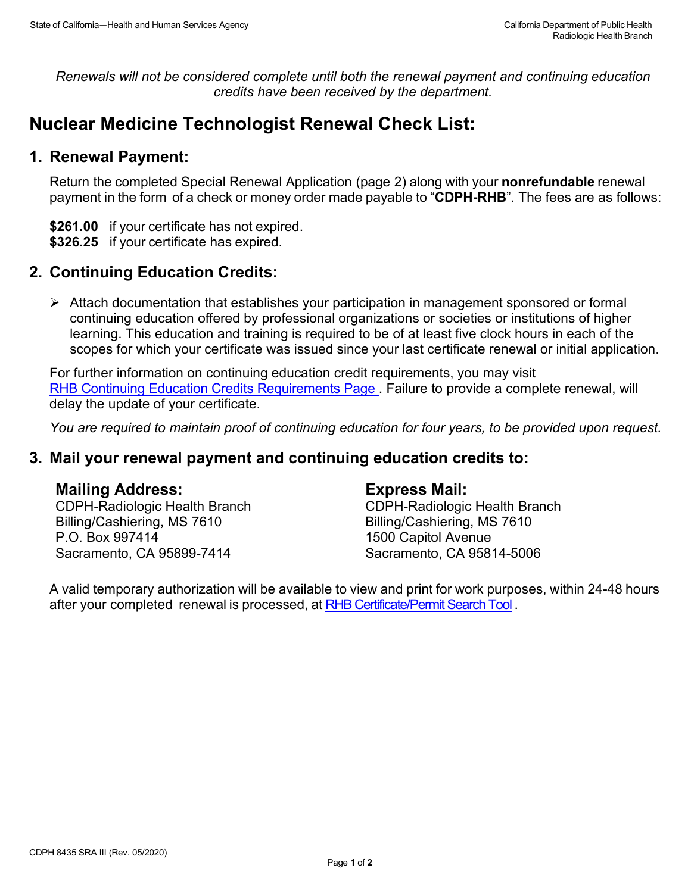*Renewals will not be considered complete until both the renewal payment and continuing education credits have been received by the department.*

# **Nuclear Medicine Technologist Renewal Check List:**

## **1. Renewal Payment:**

Return the completed Special Renewal Application (page 2) along with your **nonrefundable** renewal payment in the form of a check or money order made payable to "**CDPH-RHB**". The fees are as follows:

**\$261.00** if your certificate has not expired. **\$326.25** if your certificate has expired.

# **2. Continuing Education Credits:**

 Attach documentation that establishes your participation in management sponsored or formal continuing education offered by professional organizations or societies or institutions of higher learning. This education and training is required to be of at least five clock hours in each of the scopes for which your certificate was issued since your last certificate renewal or initial application.

For further information on continuing education credit requirements, you may visit [RHB Continuing Education Credits Requirements Page](https://www.cdph.ca.gov/Programs/CEH/DRSEM/CDPH%20Document%20Library/RHB/Certification/RHB-CEC-Renewal.pdf). Failure to provide a complete renewal, will delay the update of your certificate.

*You are required to maintain proof of continuing education for four years, to be provided upon request.*

### **3. Mail your renewal payment and continuing education credits to:**

### **Mailing Address:**

CDPH-Radiologic Health Branch Billing/Cashiering, MS 7610 P.O. Box 997414 Sacramento, CA 95899-7414

#### **Express Mail:**

CDPH-Radiologic Health Branch Billing/Cashiering, MS 7610 1500 Capitol Avenue Sacramento, CA 95814-5006

A valid temporary authorization will be available to view and print for work purposes, within 24-48 hours after your completed renewal is processed, at [RHB Certificate/Permit Search Tool](http://rhbxray.cdph.ca.gov/) .